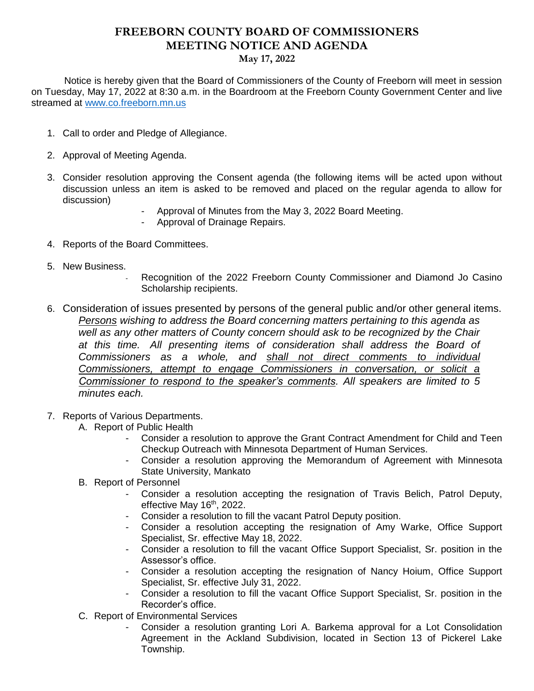## **FREEBORN COUNTY BOARD OF COMMISSIONERS MEETING NOTICE AND AGENDA May 17, 2022**

 Notice is hereby given that the Board of Commissioners of the County of Freeborn will meet in session on Tuesday, May 17, 2022 at 8:30 a.m. in the Boardroom at the Freeborn County Government Center and live streamed at [www.co.freeborn.mn.us](http://www.co.freeborn.mn.us/) 

- 1. Call to order and Pledge of Allegiance.
- 2. Approval of Meeting Agenda.
- 3. Consider resolution approving the Consent agenda (the following items will be acted upon without discussion unless an item is asked to be removed and placed on the regular agenda to allow for discussion)
	- Approval of Minutes from the May 3, 2022 Board Meeting.
	- Approval of Drainage Repairs.
- 4. Reports of the Board Committees.
- 5. New Business.
	- Recognition of the 2022 Freeborn County Commissioner and Diamond Jo Casino Scholarship recipients.
- 6. Consideration of issues presented by persons of the general public and/or other general items. *Persons wishing to address the Board concerning matters pertaining to this agenda as well as any other matters of County concern should ask to be recognized by the Chair at this time. All presenting items of consideration shall address the Board of Commissioners as a whole, and shall not direct comments to individual Commissioners, attempt to engage Commissioners in conversation, or solicit a Commissioner to respond to the speaker's comments. All speakers are limited to 5 minutes each.*
- 7. Reports of Various Departments.
	- A. Report of Public Health
		- Consider a resolution to approve the Grant Contract Amendment for Child and Teen Checkup Outreach with Minnesota Department of Human Services.
		- Consider a resolution approving the Memorandum of Agreement with Minnesota State University, Mankato
	- B. Report of Personnel
		- Consider a resolution accepting the resignation of Travis Belich, Patrol Deputy, effective May 16<sup>th</sup>, 2022.
		- Consider a resolution to fill the vacant Patrol Deputy position.
		- Consider a resolution accepting the resignation of Amy Warke, Office Support Specialist, Sr. effective May 18, 2022.
		- Consider a resolution to fill the vacant Office Support Specialist, Sr. position in the Assessor's office.
		- Consider a resolution accepting the resignation of Nancy Hoium, Office Support Specialist, Sr. effective July 31, 2022.
		- Consider a resolution to fill the vacant Office Support Specialist, Sr. position in the Recorder's office.
	- C. Report of Environmental Services
		- Consider a resolution granting Lori A. Barkema approval for a Lot Consolidation Agreement in the Ackland Subdivision, located in Section 13 of Pickerel Lake Township.